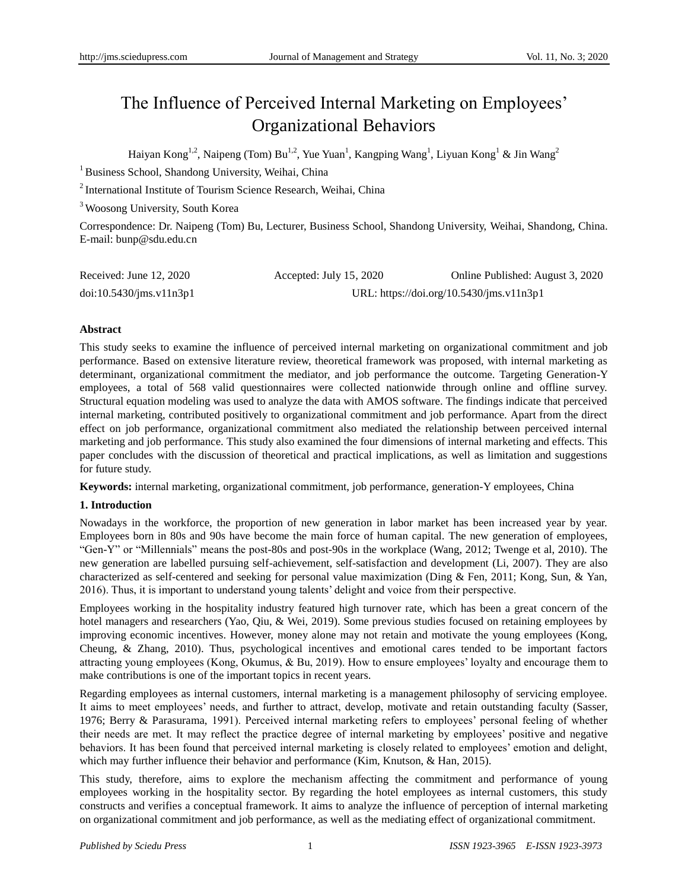# The Influence of Perceived Internal Marketing on Employees' Organizational Behaviors

Haiyan Kong<sup>1,2</sup>, Naipeng (Tom) Bu<sup>1,2</sup>, Yue Yuan<sup>1</sup>, Kangping Wang<sup>1</sup>, Liyuan Kong<sup>1</sup> & Jin Wang<sup>2</sup>

<sup>1</sup> Business School, Shandong University, Weihai, China

<sup>2</sup> International Institute of Tourism Science Research, Weihai, China

<sup>3</sup> Woosong University, South Korea

Correspondence: Dr. Naipeng (Tom) Bu, Lecturer, Business School, Shandong University, Weihai, Shandong, China. E-mail: [bunp@sdu.edu.cn](mailto:bunp@sdu.edu.cn)

| Received: June 12, 2020 | Accepted: July $15, 2020$ | Online Published: August 3, 2020         |
|-------------------------|---------------------------|------------------------------------------|
| doi:10.5430/ims.v11n3p1 |                           | URL: https://doi.org/10.5430/jms.v11n3p1 |

# **Abstract**

This study seeks to examine the influence of perceived internal marketing on organizational commitment and job performance. Based on extensive literature review, theoretical framework was proposed, with internal marketing as determinant, organizational commitment the mediator, and job performance the outcome. Targeting Generation-Y employees, a total of 568 valid questionnaires were collected nationwide through online and offline survey. Structural equation modeling was used to analyze the data with AMOS software. The findings indicate that perceived internal marketing, contributed positively to organizational commitment and job performance. Apart from the direct effect on job performance, organizational commitment also mediated the relationship between perceived internal marketing and job performance. This study also examined the four dimensions of internal marketing and effects. This paper concludes with the discussion of theoretical and practical implications, as well as limitation and suggestions for future study.

**Keywords:** internal marketing, organizational commitment, job performance, generation-Y employees, China

# **1. Introduction**

Nowadays in the workforce, the proportion of new generation in labor market has been increased year by year. Employees born in 80s and 90s have become the main force of human capital. The new generation of employees, "Gen-Y" or "Millennials" means the post-80s and post-90s in the workplace (Wang, 2012; Twenge et al, 2010). The new generation are labelled pursuing self-achievement, self-satisfaction and development (Li, 2007). They are also characterized as self-centered and seeking for personal value maximization (Ding & Fen, 2011; Kong, Sun, & Yan, 2016). Thus, it is important to understand young talents' delight and voice from their perspective.

Employees working in the hospitality industry featured high turnover rate, which has been a great concern of the hotel managers and researchers (Yao, Qiu, & Wei, 2019). Some previous studies focused on retaining employees by improving economic incentives. However, money alone may not retain and motivate the young employees (Kong, Cheung, & Zhang, 2010). Thus, psychological incentives and emotional cares tended to be important factors attracting young employees (Kong, Okumus, & Bu, 2019). How to ensure employees' loyalty and encourage them to make contributions is one of the important topics in recent years.

Regarding employees as internal customers, internal marketing is a management philosophy of servicing employee. It aims to meet employees' needs, and further to attract, develop, motivate and retain outstanding faculty (Sasser, 1976; Berry & Parasurama, 1991). Perceived internal marketing refers to employees' personal feeling of whether their needs are met. It may reflect the practice degree of internal marketing by employees' positive and negative behaviors. It has been found that perceived internal marketing is closely related to employees' emotion and delight, which may further influence their behavior and performance (Kim, Knutson, & Han, 2015).

This study, therefore, aims to explore the mechanism affecting the commitment and performance of young employees working in the hospitality sector. By regarding the hotel employees as internal customers, this study constructs and verifies a conceptual framework. It aims to analyze the influence of perception of internal marketing on organizational commitment and job performance, as well as the mediating effect of organizational commitment.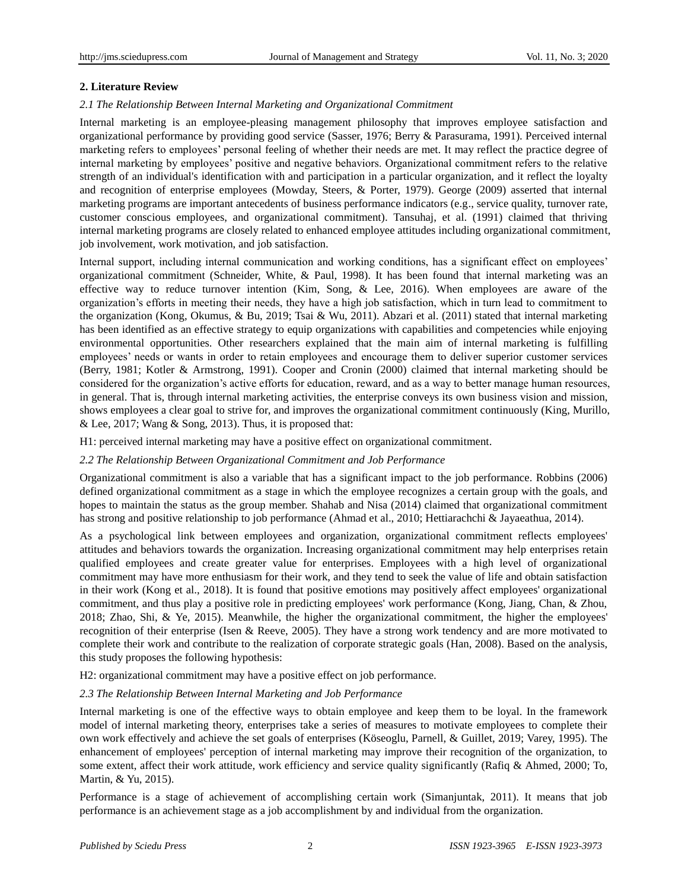## **2. Literature Review**

## *2.1 The Relationship Between Internal Marketing and Organizational Commitment*

Internal marketing is an employee-pleasing management philosophy that improves employee satisfaction and organizational performance by providing good service (Sasser, 1976; Berry & Parasurama, 1991). Perceived internal marketing refers to employees' personal feeling of whether their needs are met. It may reflect the practice degree of internal marketing by employees' positive and negative behaviors. Organizational commitment refers to the relative strength of an individual's identification with and participation in a particular organization, and it reflect the loyalty and recognition of enterprise employees (Mowday, Steers, & Porter, 1979). George (2009) asserted that internal marketing programs are important antecedents of business performance indicators (e.g., service quality, turnover rate, customer conscious employees, and organizational commitment). Tansuhaj, et al. (1991) claimed that thriving internal marketing programs are closely related to enhanced employee attitudes including organizational commitment, job involvement, work motivation, and job satisfaction.

Internal support, including internal communication and working conditions, has a significant effect on employees' organizational commitment (Schneider, White, & Paul, 1998). It has been found that internal marketing was an effective way to reduce turnover intention (Kim, Song,  $\&$  Lee, 2016). When employees are aware of the organization's efforts in meeting their needs, they have a high job satisfaction, which in turn lead to commitment to the organization (Kong, Okumus, & Bu, 2019; Tsai & Wu, 2011). Abzari et al. (2011) stated that internal marketing has been identified as an effective strategy to equip organizations with capabilities and competencies while enjoying environmental opportunities. Other researchers explained that the main aim of internal marketing is fulfilling employees' needs or wants in order to retain employees and encourage them to deliver superior customer services (Berry, 1981; Kotler & Armstrong, 1991). Cooper and Cronin (2000) claimed that internal marketing should be considered for the organization's active efforts for education, reward, and as a way to better manage human resources, in general. That is, through internal marketing activities, the enterprise conveys its own business vision and mission, shows employees a clear goal to strive for, and improves the organizational commitment continuously (King, Murillo, & Lee, 2017; Wang & Song, 2013). Thus, it is proposed that:

H1: perceived internal marketing may have a positive effect on organizational commitment.

#### *2.2 The Relationship Between Organizational Commitment and Job Performance*

Organizational commitment is also a variable that has a significant impact to the job performance. Robbins (2006) defined organizational commitment as a stage in which the employee recognizes a certain group with the goals, and hopes to maintain the status as the group member. Shahab and Nisa (2014) claimed that organizational commitment has strong and positive relationship to job performance (Ahmad et al., 2010; Hettiarachchi & Jayaeathua, 2014).

As a psychological link between employees and organization, organizational commitment reflects employees' attitudes and behaviors towards the organization. Increasing organizational commitment may help enterprises retain qualified employees and create greater value for enterprises. Employees with a high level of organizational commitment may have more enthusiasm for their work, and they tend to seek the value of life and obtain satisfaction in their work (Kong et al., 2018). It is found that positive emotions may positively affect employees' organizational commitment, and thus play a positive role in predicting employees' work performance (Kong, Jiang, Chan, & Zhou, 2018; Zhao, Shi, & Ye, 2015). Meanwhile, the higher the organizational commitment, the higher the employees' recognition of their enterprise (Isen & Reeve, 2005). They have a strong work tendency and are more motivated to complete their work and contribute to the realization of corporate strategic goals (Han, 2008). Based on the analysis, this study proposes the following hypothesis:

H2: organizational commitment may have a positive effect on job performance.

# *2.3 The Relationship Between Internal Marketing and Job Performance*

Internal marketing is one of the effective ways to obtain employee and keep them to be loyal. In the framework model of internal marketing theory, enterprises take a series of measures to motivate employees to complete their own work effectively and achieve the set goals of enterprises (Köseoglu, Parnell, & Guillet, 2019; Varey, 1995). The enhancement of employees' perception of internal marketing may improve their recognition of the organization, to some extent, affect their work attitude, work efficiency and service quality significantly (Rafiq & Ahmed, 2000; To, Martin, & Yu, 2015).

Performance is a stage of achievement of accomplishing certain work (Simanjuntak, 2011). It means that job performance is an achievement stage as a job accomplishment by and individual from the organization.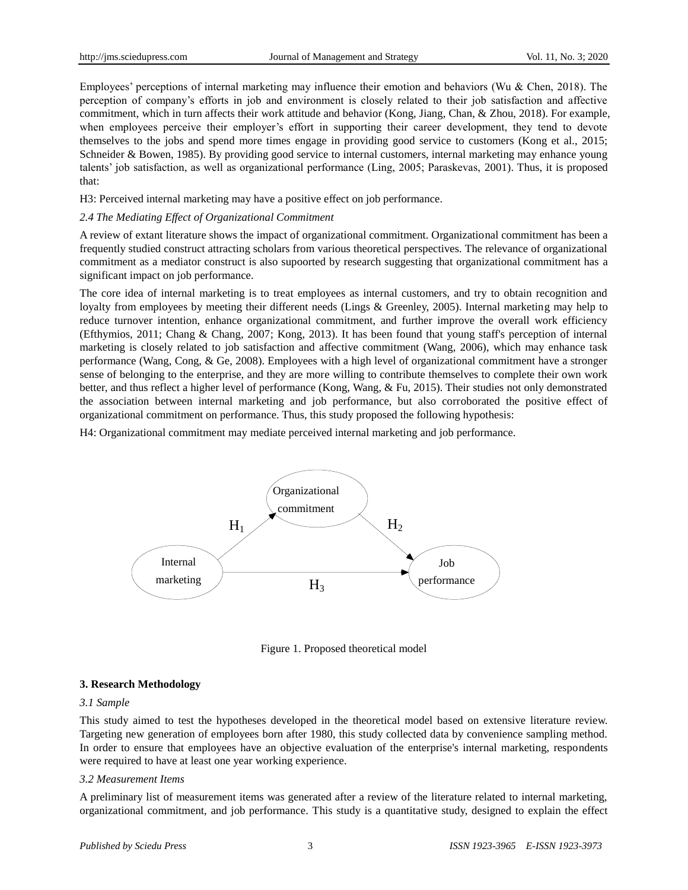Employees' perceptions of internal marketing may influence their emotion and behaviors (Wu & Chen, 2018). The perception of company's efforts in job and environment is closely related to their job satisfaction and affective commitment, which in turn affects their work attitude and behavior (Kong, Jiang, Chan, & Zhou, 2018). For example, when employees perceive their employer's effort in supporting their career development, they tend to devote themselves to the jobs and spend more times engage in providing good service to customers (Kong et al., 2015; Schneider & Bowen, 1985). By providing good service to internal customers, internal marketing may enhance young talents' job satisfaction, as well as organizational performance (Ling, 2005; Paraskevas, 2001). Thus, it is proposed that:

H3: Perceived internal marketing may have a positive effect on job performance.

## *2.4 The Mediating Effect of Organizational Commitment*

A review of extant literature shows the impact of organizational commitment. Organizational commitment has been a frequently studied construct attracting scholars from various theoretical perspectives. The relevance of organizational commitment as a mediator construct is also supoorted by research suggesting that organizational commitment has a significant impact on job performance.

The core idea of internal marketing is to treat employees as internal customers, and try to obtain recognition and loyalty from employees by meeting their different needs (Lings & Greenley, 2005). Internal marketing may help to reduce turnover intention, enhance organizational commitment, and further improve the overall work efficiency (Efthymios, 2011; Chang & Chang, 2007; Kong, 2013). It has been found that young staff's perception of internal marketing is closely related to job satisfaction and affective commitment (Wang, 2006), which may enhance task performance (Wang, Cong, & Ge, 2008). Employees with a high level of organizational commitment have a stronger sense of belonging to the enterprise, and they are more willing to contribute themselves to complete their own work better, and thus reflect a higher level of performance (Kong, Wang, & Fu, 2015). Their studies not only demonstrated the association between internal marketing and job performance, but also corroborated the positive effect of organizational commitment on performance. Thus, this study proposed the following hypothesis:

H4: Organizational commitment may mediate perceived internal marketing and job performance.



Figure 1. Proposed theoretical model

# **3. Research Methodology**

#### *3.1 Sample*

This study aimed to test the hypotheses developed in the theoretical model based on extensive literature review. Targeting new generation of employees born after 1980, this study collected data by convenience sampling method. In order to ensure that employees have an objective evaluation of the enterprise's internal marketing, respondents were required to have at least one year working experience.

#### *3.2 Measurement Items*

A preliminary list of measurement items was generated after a review of the literature related to internal marketing, organizational commitment, and job performance. This study is a quantitative study, designed to explain the effect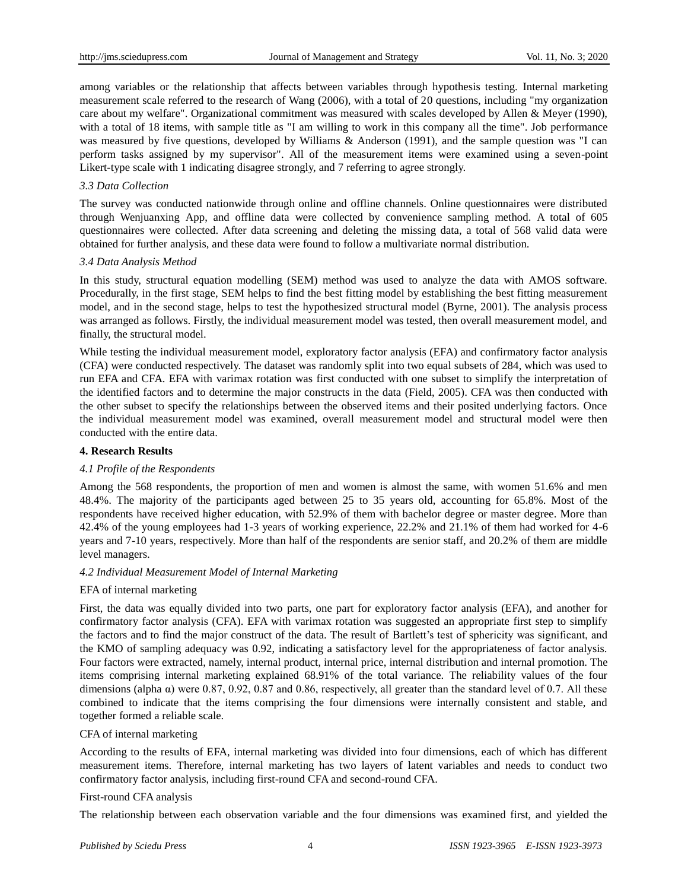among variables or the relationship that affects between variables through hypothesis testing. Internal marketing measurement scale referred to the research of Wang (2006), with a total of 20 questions, including "my organization care about my welfare". Organizational commitment was measured with scales developed by Allen & Meyer (1990), with a total of 18 items, with sample title as "I am willing to work in this company all the time". Job performance was measured by five questions, developed by Williams & Anderson (1991), and the sample question was "I can perform tasks assigned by my supervisor". All of the measurement items were examined using a seven-point Likert-type scale with 1 indicating disagree strongly, and 7 referring to agree strongly.

## *3.3 Data Collection*

The survey was conducted nationwide through online and offline channels. Online questionnaires were distributed through Wenjuanxing App, and offline data were collected by convenience sampling method. A total of 605 questionnaires were collected. After data screening and deleting the missing data, a total of 568 valid data were obtained for further analysis, and these data were found to follow a multivariate normal distribution.

#### *3.4 Data Analysis Method*

In this study, structural equation modelling (SEM) method was used to analyze the data with AMOS software. Procedurally, in the first stage, SEM helps to find the best fitting model by establishing the best fitting measurement model, and in the second stage, helps to test the hypothesized structural model (Byrne, 2001). The analysis process was arranged as follows. Firstly, the individual measurement model was tested, then overall measurement model, and finally, the structural model.

While testing the individual measurement model, exploratory factor analysis (EFA) and confirmatory factor analysis (CFA) were conducted respectively. The dataset was randomly split into two equal subsets of 284, which was used to run EFA and CFA. EFA with varimax rotation was first conducted with one subset to simplify the interpretation of the identified factors and to determine the major constructs in the data (Field, 2005). CFA was then conducted with the other subset to specify the relationships between the observed items and their posited underlying factors. Once the individual measurement model was examined, overall measurement model and structural model were then conducted with the entire data.

## **4. Research Results**

# *4.1 Profile of the Respondents*

Among the 568 respondents, the proportion of men and women is almost the same, with women 51.6% and men 48.4%. The majority of the participants aged between 25 to 35 years old, accounting for 65.8%. Most of the respondents have received higher education, with 52.9% of them with bachelor degree or master degree. More than 42.4% of the young employees had 1-3 years of working experience, 22.2% and 21.1% of them had worked for 4-6 years and 7-10 years, respectively. More than half of the respondents are senior staff, and 20.2% of them are middle level managers.

#### *4.2 Individual Measurement Model of Internal Marketing*

#### EFA of internal marketing

First, the data was equally divided into two parts, one part for exploratory factor analysis (EFA), and another for confirmatory factor analysis (CFA). EFA with varimax rotation was suggested an appropriate first step to simplify the factors and to find the major construct of the data. The result of Bartlett's test of sphericity was significant, and the KMO of sampling adequacy was 0.92, indicating a satisfactory level for the appropriateness of factor analysis. Four factors were extracted, namely, internal product, internal price, internal distribution and internal promotion. The items comprising internal marketing explained 68.91% of the total variance. The reliability values of the four dimensions (alpha  $\alpha$ ) were 0.87, 0.92, 0.87 and 0.86, respectively, all greater than the standard level of 0.7. All these combined to indicate that the items comprising the four dimensions were internally consistent and stable, and together formed a reliable scale.

#### CFA of internal marketing

According to the results of EFA, internal marketing was divided into four dimensions, each of which has different measurement items. Therefore, internal marketing has two layers of latent variables and needs to conduct two confirmatory factor analysis, including first-round CFA and second-round CFA.

#### First-round CFA analysis

The relationship between each observation variable and the four dimensions was examined first, and yielded the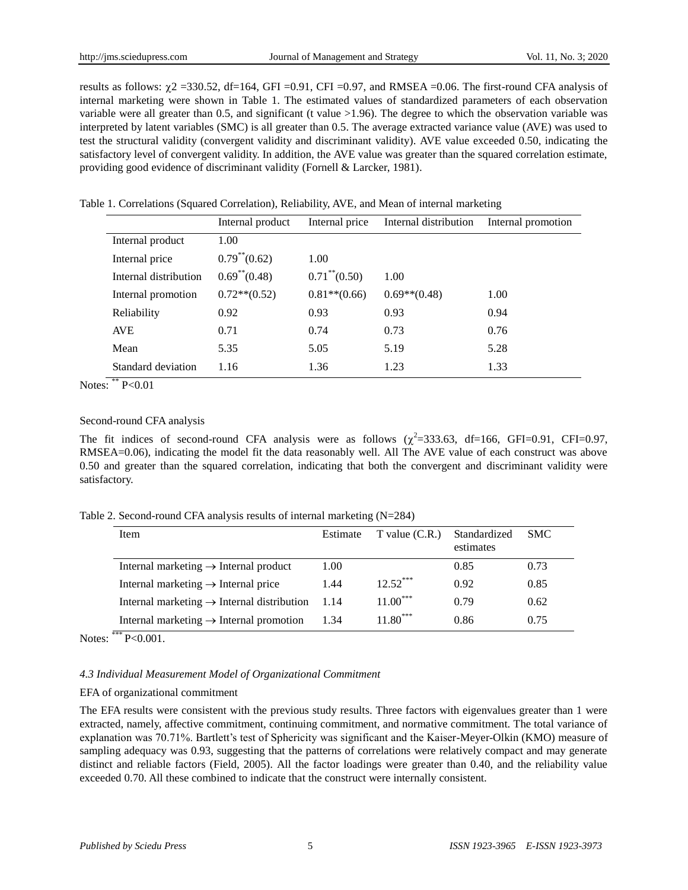results as follows:  $\gamma$ 2 =330.52, df=164, GFI =0.91, CFI =0.97, and RMSEA =0.06. The first-round CFA analysis of internal marketing were shown in Table 1. The estimated values of standardized parameters of each observation variable were all greater than 0.5, and significant (t value  $>1.96$ ). The degree to which the observation variable was interpreted by latent variables (SMC) is all greater than 0.5. The average extracted variance value (AVE) was used to test the structural validity (convergent validity and discriminant validity). AVE value exceeded 0.50, indicating the satisfactory level of convergent validity. In addition, the AVE value was greater than the squared correlation estimate, providing good evidence of discriminant validity (Fornell & Larcker, 1981).

Table 1. Correlations (Squared Correlation), Reliability, AVE, and Mean of internal marketing

|                       | Internal product              | Internal price                | Internal distribution | Internal promotion |
|-----------------------|-------------------------------|-------------------------------|-----------------------|--------------------|
| Internal product      | 1.00                          |                               |                       |                    |
| Internal price        | $0.79^{**}(0.62)$             | 1.00                          |                       |                    |
| Internal distribution | $0.69$ <sup>**</sup> $(0.48)$ | $0.71$ <sup>**</sup> $(0.50)$ | 1.00                  |                    |
| Internal promotion    | $0.72**$ (0.52)               | $0.81**$ (0.66)               | $0.69**$ (0.48)       | 1.00               |
| Reliability           | 0.92                          | 0.93                          | 0.93                  | 0.94               |
| <b>AVE</b>            | 0.71                          | 0.74                          | 0.73                  | 0.76               |
| Mean                  | 5.35                          | 5.05                          | 5.19                  | 5.28               |
| Standard deviation    | 1.16                          | 1.36                          | 1.23                  | 1.33               |

Notes: \*\*  $P < 0.01$ 

## Second-round CFA analysis

The fit indices of second-round CFA analysis were as follows  $(\chi^2=333.63, df=166, GFI=0.91, CFI=0.97,$ RMSEA=0.06), indicating the model fit the data reasonably well. All The AVE value of each construct was above 0.50 and greater than the squared correlation, indicating that both the convergent and discriminant validity were satisfactory.

Table 2. Second-round CFA analysis results of internal marketing (N=284)

| Item                                                              | Estimate | $T$ value $(C.R.)$ | Standardized<br>estimates | <b>SMC</b> |
|-------------------------------------------------------------------|----------|--------------------|---------------------------|------------|
| Internal marketing $\rightarrow$ Internal product                 | 1.00     |                    | 0.85                      | 0.73       |
| Internal marketing $\rightarrow$ Internal price                   | 1.44     | $12.52***$         | 0.92                      | 0.85       |
| Internal marketing $\rightarrow$ Internal distribution            | 1.14     | $11.00***$         | 0.79                      | 0.62       |
| Internal marketing $\rightarrow$ Internal promotion<br>standards. | 1.34     | $11.80***$         | 0.86                      | 0.75       |

Notes: \*\*\* P<0.001.

# *4.3 Individual Measurement Model of Organizational Commitment*

# EFA of organizational commitment

The EFA results were consistent with the previous study results. Three factors with eigenvalues greater than 1 were extracted, namely, affective commitment, continuing commitment, and normative commitment. The total variance of explanation was 70.71%. Bartlett's test of Sphericity was significant and the Kaiser-Meyer-Olkin (KMO) measure of sampling adequacy was 0.93, suggesting that the patterns of correlations were relatively compact and may generate distinct and reliable factors (Field, 2005). All the factor loadings were greater than 0.40, and the reliability value exceeded 0.70. All these combined to indicate that the construct were internally consistent.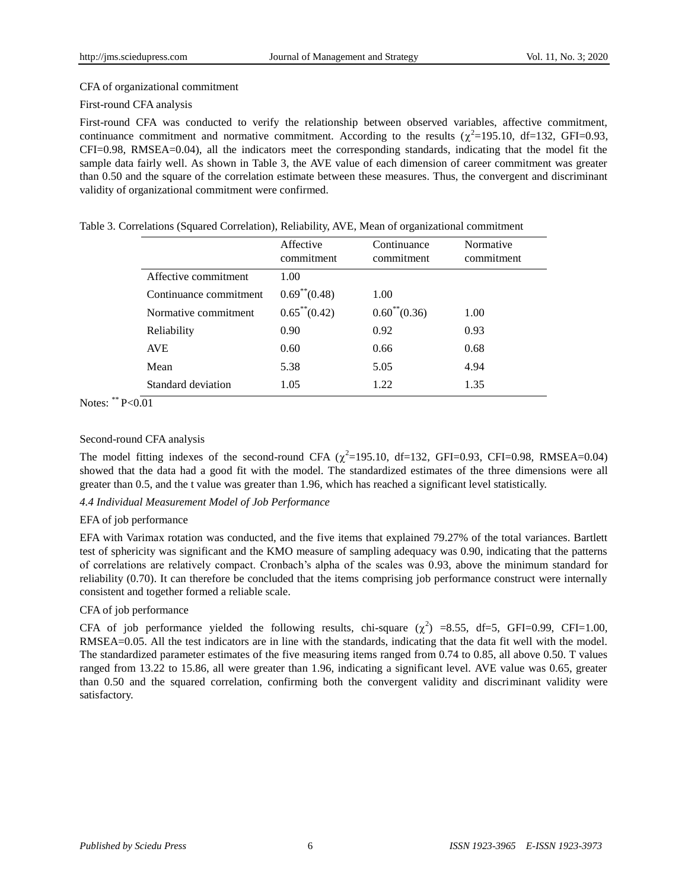# CFA of organizational commitment

## First-round CFA analysis

First-round CFA was conducted to verify the relationship between observed variables, affective commitment, continuance commitment and normative commitment. According to the results  $(\chi^2=195.10, df=132, GFI=0.93,$ CFI=0.98, RMSEA=0.04), all the indicators meet the corresponding standards, indicating that the model fit the sample data fairly well. As shown in Table 3, the AVE value of each dimension of career commitment was greater than 0.50 and the square of the correlation estimate between these measures. Thus, the convergent and discriminant validity of organizational commitment were confirmed.

|  |  |  | Table 3. Correlations (Squared Correlation), Reliability, AVE, Mean of organizational commitment |  |
|--|--|--|--------------------------------------------------------------------------------------------------|--|

|                        | Affective<br>commitment | Continuance<br>commitment | Normative<br>commitment |
|------------------------|-------------------------|---------------------------|-------------------------|
| Affective commitment   | 1.00                    |                           |                         |
| Continuance commitment | $0.69^{**}(0.48)$       | 1.00                      |                         |
| Normative commitment   | $0.65^{**}(0.42)$       | $0.60^{**}(0.36)$         | 1.00                    |
| Reliability            | 0.90                    | 0.92                      | 0.93                    |
| <b>AVE</b>             | 0.60                    | 0.66                      | 0.68                    |
| Mean                   | 5.38                    | 5.05                      | 4.94                    |
| Standard deviation     | 1.05                    | 1.22                      | 1.35                    |

Notes: \*\*  $P < 0.01$ 

# Second-round CFA analysis

The model fitting indexes of the second-round CFA  $(\chi^2=195.10, df=132, GFI=0.93, CFI=0.98, RMSEA=0.04)$ showed that the data had a good fit with the model. The standardized estimates of the three dimensions were all greater than 0.5, and the t value was greater than 1.96, which has reached a significant level statistically.

# *4.4 Individual Measurement Model of Job Performance*

# EFA of job performance

EFA with Varimax rotation was conducted, and the five items that explained 79.27% of the total variances. Bartlett test of sphericity was significant and the KMO measure of sampling adequacy was 0.90, indicating that the patterns of correlations are relatively compact. Cronbach's alpha of the scales was 0.93, above the minimum standard for reliability (0.70). It can therefore be concluded that the items comprising job performance construct were internally consistent and together formed a reliable scale.

# CFA of job performance

CFA of job performance yielded the following results, chi-square  $(\chi^2)$  =8.55, df=5, GFI=0.99, CFI=1.00, RMSEA=0.05. All the test indicators are in line with the standards, indicating that the data fit well with the model. The standardized parameter estimates of the five measuring items ranged from 0.74 to 0.85, all above 0.50. T values ranged from 13.22 to 15.86, all were greater than 1.96, indicating a significant level. AVE value was 0.65, greater than 0.50 and the squared correlation, confirming both the convergent validity and discriminant validity were satisfactory.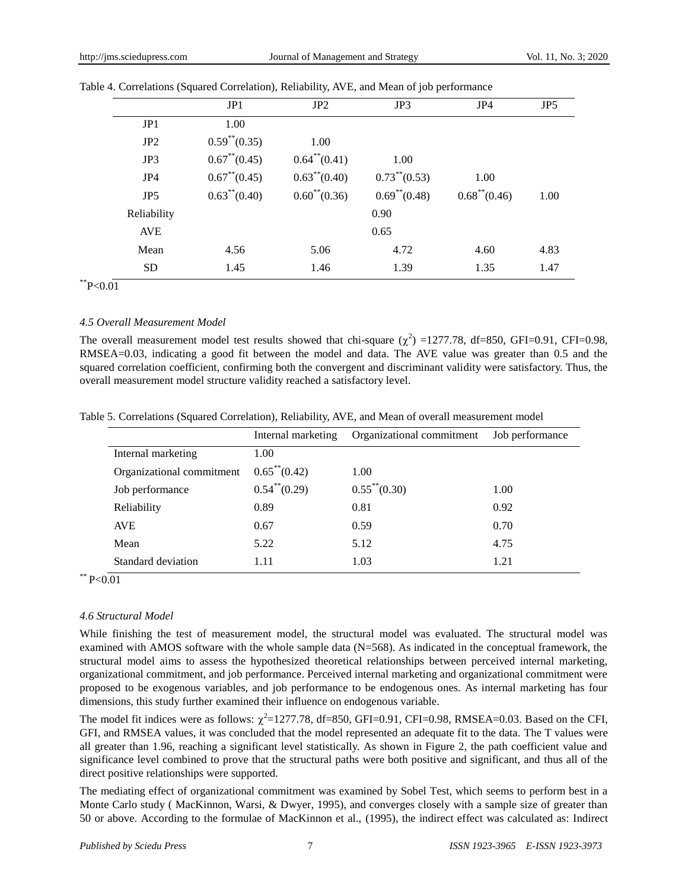|                 | JP1                | JP2               | JP3               | JP4               | JP5  |  |
|-----------------|--------------------|-------------------|-------------------|-------------------|------|--|
| JP1             | 1.00               |                   |                   |                   |      |  |
| JP <sub>2</sub> | $0.59^{**}(0.35)$  | 1.00              |                   |                   |      |  |
| JP3             | $0.67$ ** $(0.45)$ | $0.64^{**}(0.41)$ | 1.00              |                   |      |  |
| JP4             | $0.67^{**}(0.45)$  | $0.63^{**}(0.40)$ | $0.73^{**}(0.53)$ | 1.00              |      |  |
| JP <sub>5</sub> | $0.63^{**}(0.40)$  | $0.60^{**}(0.36)$ | $0.69^{**}(0.48)$ | $0.68^{**}(0.46)$ | 1.00 |  |
| Reliability     |                    |                   | 0.90              |                   |      |  |
| <b>AVE</b>      |                    |                   | 0.65              |                   |      |  |
| Mean            | 4.56               | 5.06              | 4.72              | 4.60              | 4.83 |  |
| <b>SD</b>       | 1.45               | 1.46              | 1.39              | 1.35              | 1.47 |  |

|  | Table 4. Correlations (Squared Correlation), Reliability, AVE, and Mean of job performance |  |  |  |
|--|--------------------------------------------------------------------------------------------|--|--|--|
|  |                                                                                            |  |  |  |

\*\* $P < 0.01$ 

#### *4.5 Overall Measurement Model*

The overall measurement model test results showed that chi-square  $(\chi^2)$  =1277.78, df=850, GFI=0.91, CFI=0.98, RMSEA=0.03, indicating a good fit between the model and data. The AVE value was greater than 0.5 and the squared correlation coefficient, confirming both the convergent and discriminant validity were satisfactory. Thus, the overall measurement model structure validity reached a satisfactory level.

| Table 5. Correlations (Squared Correlation), Reliability, AVE, and Mean of overall measurement model |  |  |  |  |  |  |
|------------------------------------------------------------------------------------------------------|--|--|--|--|--|--|
|------------------------------------------------------------------------------------------------------|--|--|--|--|--|--|

|                           | Internal marketing | Organizational commitment | Job performance |
|---------------------------|--------------------|---------------------------|-----------------|
| Internal marketing        | 1.00               |                           |                 |
| Organizational commitment | $0.65^{**}(0.42)$  | 1.00                      |                 |
| Job performance           | $0.54^{**}(0.29)$  | $0.55^{**}(0.30)$         | 1.00            |
| Reliability               | 0.89               | 0.81                      | 0.92            |
| <b>AVE</b>                | 0.67               | 0.59                      | 0.70            |
| Mean                      | 5.22               | 5.12                      | 4.75            |
| Standard deviation        | 1.11               | 1.03                      | 1.21            |

\*\*  $P < 0.01$ 

#### *4.6 Structural Model*

While finishing the test of measurement model, the structural model was evaluated. The structural model was examined with AMOS software with the whole sample data (N=568). As indicated in the conceptual framework, the structural model aims to assess the hypothesized theoretical relationships between perceived internal marketing, organizational commitment, and job performance. Perceived internal marketing and organizational commitment were proposed to be exogenous variables, and job performance to be endogenous ones. As internal marketing has four dimensions, this study further examined their influence on endogenous variable.

The model fit indices were as follows:  $\chi^2$ =1277.78, df=850, GFI=0.91, CFI=0.98, RMSEA=0.03. Based on the CFI, GFI, and RMSEA values, it was concluded that the model represented an adequate fit to the data. The T values were all greater than 1.96, reaching a significant level statistically. As shown in Figure 2, the path coefficient value and significance level combined to prove that the structural paths were both positive and significant, and thus all of the direct positive relationships were supported.

The mediating effect of organizational commitment was examined by Sobel Test, which seems to perform best in a Monte Carlo study ( MacKinnon, Warsi, & Dwyer, 1995), and converges closely with a sample size of greater than 50 or above. According to the formulae of MacKinnon et al., (1995), the indirect effect was calculated as: Indirect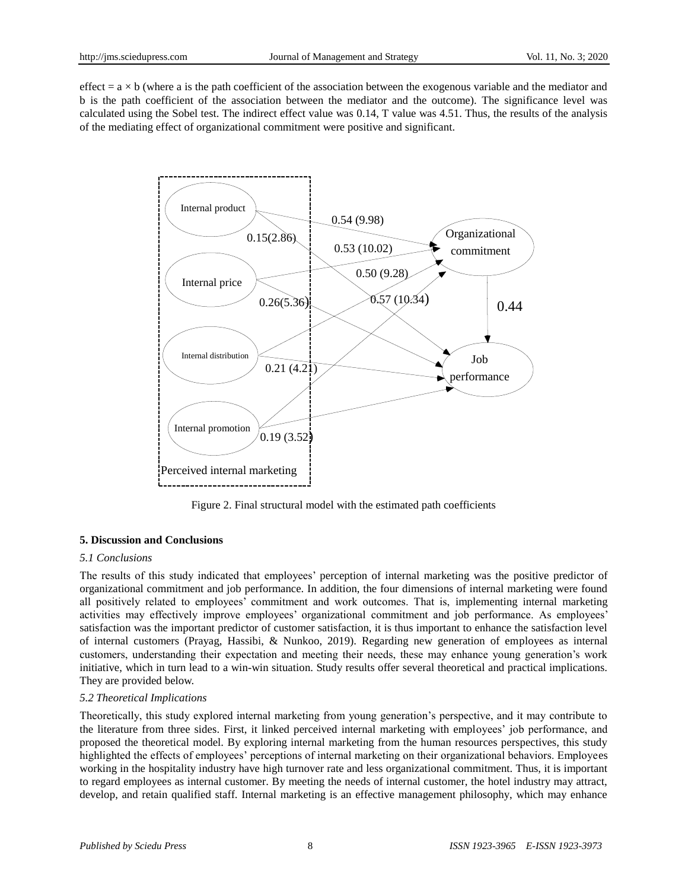effect  $= a \times b$  (where a is the path coefficient of the association between the exogenous variable and the mediator and b is the path coefficient of the association between the mediator and the outcome). The significance level was calculated using the Sobel test. The indirect effect value was 0.14, T value was 4.51. Thus, the results of the analysis of the mediating effect of organizational commitment were positive and significant.



Figure 2. Final structural model with the estimated path coefficients

## **5. Discussion and Conclusions**

#### *5.1 Conclusions*

The results of this study indicated that employees' perception of internal marketing was the positive predictor of organizational commitment and job performance. In addition, the four dimensions of internal marketing were found all positively related to employees' commitment and work outcomes. That is, implementing internal marketing activities may effectively improve employees' organizational commitment and job performance. As employees' satisfaction was the important predictor of customer satisfaction, it is thus important to enhance the satisfaction level of internal customers (Prayag, Hassibi, & Nunkoo, 2019). Regarding new generation of employees as internal customers, understanding their expectation and meeting their needs, these may enhance young generation's work initiative, which in turn lead to a win-win situation. Study results offer several theoretical and practical implications. They are provided below.

#### *5.2 Theoretical Implications*

Theoretically, this study explored internal marketing from young generation's perspective, and it may contribute to the literature from three sides. First, it linked perceived internal marketing with employees' job performance, and proposed the theoretical model. By exploring internal marketing from the human resources perspectives, this study highlighted the effects of employees' perceptions of internal marketing on their organizational behaviors. Employees working in the hospitality industry have high turnover rate and less organizational commitment. Thus, it is important to regard employees as internal customer. By meeting the needs of internal customer, the hotel industry may attract, develop, and retain qualified staff. Internal marketing is an effective management philosophy, which may enhance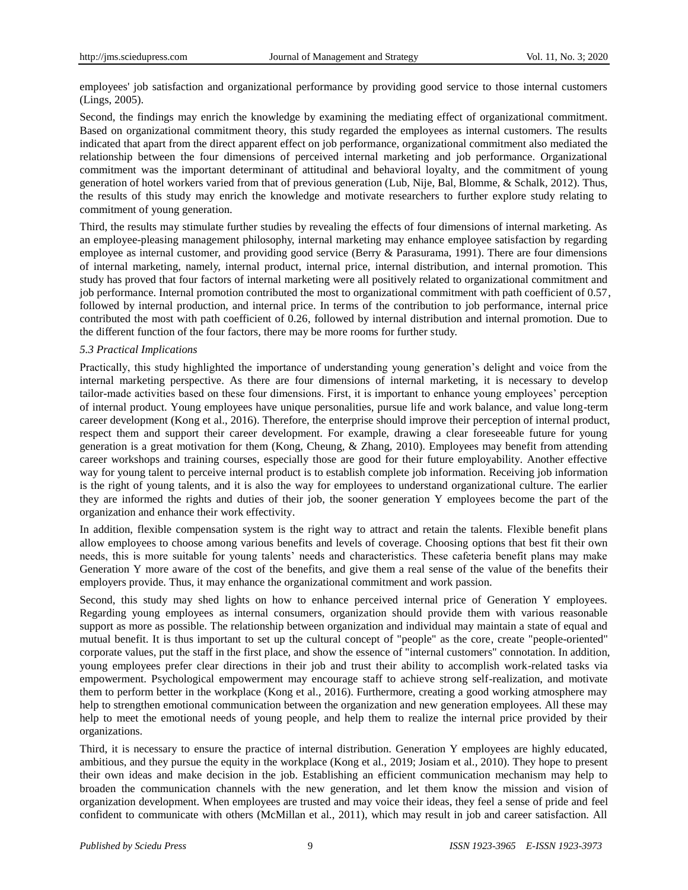employees' job satisfaction and organizational performance by providing good service to those internal customers (Lings, 2005).

Second, the findings may enrich the knowledge by examining the mediating effect of organizational commitment. Based on organizational commitment theory, this study regarded the employees as internal customers. The results indicated that apart from the direct apparent effect on job performance, organizational commitment also mediated the relationship between the four dimensions of perceived internal marketing and job performance. Organizational commitment was the important determinant of attitudinal and behavioral loyalty, and the commitment of young generation of hotel workers varied from that of previous generation (Lub, Nije, Bal, Blomme, & Schalk, 2012). Thus, the results of this study may enrich the knowledge and motivate researchers to further explore study relating to commitment of young generation.

Third, the results may stimulate further studies by revealing the effects of four dimensions of internal marketing. As an employee-pleasing management philosophy, internal marketing may enhance employee satisfaction by regarding employee as internal customer, and providing good service (Berry & Parasurama, 1991). There are four dimensions of internal marketing, namely, internal product, internal price, internal distribution, and internal promotion. This study has proved that four factors of internal marketing were all positively related to organizational commitment and job performance. Internal promotion contributed the most to organizational commitment with path coefficient of 0.57, followed by internal production, and internal price. In terms of the contribution to job performance, internal price contributed the most with path coefficient of 0.26, followed by internal distribution and internal promotion. Due to the different function of the four factors, there may be more rooms for further study.

## *5.3 Practical Implications*

Practically, this study highlighted the importance of understanding young generation's delight and voice from the internal marketing perspective. As there are four dimensions of internal marketing, it is necessary to develop tailor-made activities based on these four dimensions. First, it is important to enhance young employees' perception of internal product. Young employees have unique personalities, pursue life and work balance, and value long-term career development (Kong et al., 2016). Therefore, the enterprise should improve their perception of internal product, respect them and support their career development. For example, drawing a clear foreseeable future for young generation is a great motivation for them (Kong, Cheung, & Zhang, 2010). Employees may benefit from attending career workshops and training courses, especially those are good for their future employability. Another effective way for young talent to perceive internal product is to establish complete job information. Receiving job information is the right of young talents, and it is also the way for employees to understand organizational culture. The earlier they are informed the rights and duties of their job, the sooner generation Y employees become the part of the organization and enhance their work effectivity.

In addition, flexible compensation system is the right way to attract and retain the talents. Flexible benefit plans allow employees to choose among various benefits and levels of coverage. Choosing options that best fit their own needs, this is more suitable for young talents' needs and characteristics. These cafeteria benefit plans may make Generation Y more aware of the cost of the benefits, and give them a real sense of the value of the benefits their employers provide. Thus, it may enhance the organizational commitment and work passion.

Second, this study may shed lights on how to enhance perceived internal price of Generation Y employees. Regarding young employees as internal consumers, organization should provide them with various reasonable support as more as possible. The relationship between organization and individual may maintain a state of equal and mutual benefit. It is thus important to set up the cultural concept of "people" as the core, create "people-oriented" corporate values, put the staff in the first place, and show the essence of "internal customers" connotation. In addition, young employees prefer clear directions in their job and trust their ability to accomplish work-related tasks via empowerment. Psychological empowerment may encourage staff to achieve strong self-realization, and motivate them to perform better in the workplace (Kong et al., 2016). Furthermore, creating a good working atmosphere may help to strengthen emotional communication between the organization and new generation employees. All these may help to meet the emotional needs of young people, and help them to realize the internal price provided by their organizations.

Third, it is necessary to ensure the practice of internal distribution. Generation Y employees are highly educated, ambitious, and they pursue the equity in the workplace (Kong et al., 2019; Josiam et al., 2010). They hope to present their own ideas and make decision in the job. Establishing an efficient communication mechanism may help to broaden the communication channels with the new generation, and let them know the mission and vision of organization development. When employees are trusted and may voice their ideas, they feel a sense of pride and feel confident to communicate with others (McMillan et al., 2011), which may result in job and career satisfaction. All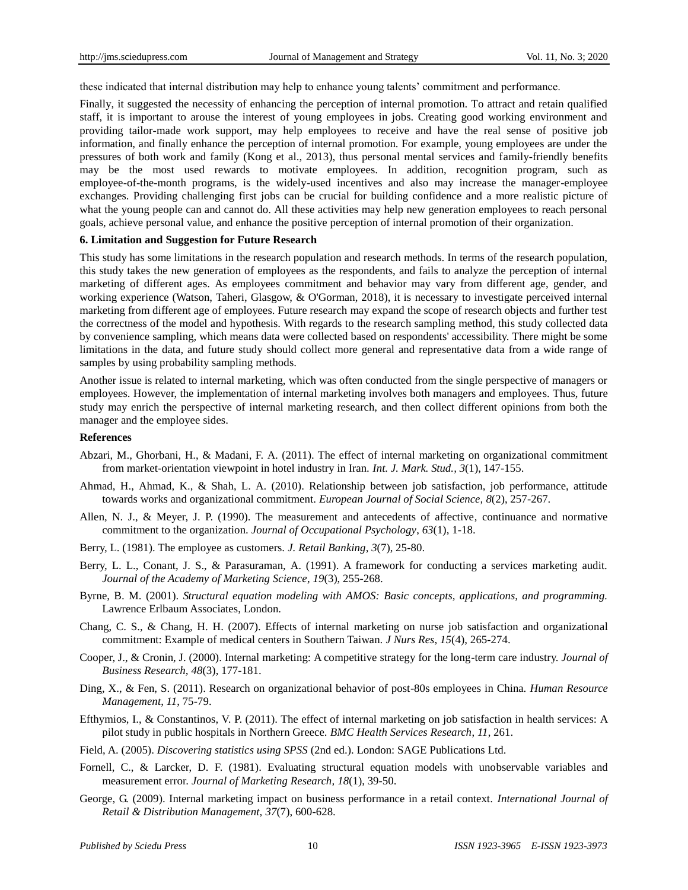these indicated that internal distribution may help to enhance young talents' commitment and performance.

Finally, it suggested the necessity of enhancing the perception of internal promotion. To attract and retain qualified staff, it is important to arouse the interest of young employees in jobs. Creating good working environment and providing tailor-made work support, may help employees to receive and have the real sense of positive job information, and finally enhance the perception of internal promotion. For example, young employees are under the pressures of both work and family (Kong et al., 2013), thus personal mental services and family-friendly benefits may be the most used rewards to motivate employees. In addition, recognition program, such as employee-of-the-month programs, is the widely-used incentives and also may increase the manager-employee exchanges. Providing challenging first jobs can be crucial for building confidence and a more realistic picture of what the young people can and cannot do. All these activities may help new generation employees to reach personal goals, achieve personal value, and enhance the positive perception of internal promotion of their organization.

## **6. Limitation and Suggestion for Future Research**

This study has some limitations in the research population and research methods. In terms of the research population, this study takes the new generation of employees as the respondents, and fails to analyze the perception of internal marketing of different ages. As employees commitment and behavior may vary from different age, gender, and working experience (Watson, Taheri, Glasgow, & O'Gorman, 2018), it is necessary to investigate perceived internal marketing from different age of employees. Future research may expand the scope of research objects and further test the correctness of the model and hypothesis. With regards to the research sampling method, this study collected data by convenience sampling, which means data were collected based on respondents' accessibility. There might be some limitations in the data, and future study should collect more general and representative data from a wide range of samples by using probability sampling methods.

Another issue is related to internal marketing, which was often conducted from the single perspective of managers or employees. However, the implementation of internal marketing involves both managers and employees. Thus, future study may enrich the perspective of internal marketing research, and then collect different opinions from both the manager and the employee sides.

#### **References**

- Abzari, M., Ghorbani, H., & Madani, F. A. (2011). The effect of internal marketing on organizational commitment from market-orientation viewpoint in hotel industry in Iran. *Int. J. Mark. Stud., 3*(1), 147-155.
- Ahmad, H., Ahmad, K., & Shah, L. A. (2010). Relationship between job satisfaction, job performance, attitude towards works and organizational commitment. *European Journal of Social Science, 8*(2), 257-267.
- Allen, N. J., & Meyer, J. P. (1990). The measurement and antecedents of affective, continuance and normative commitment to the organization. *Journal of Occupational Psychology*, *63*(1), 1-18.
- Berry, L. (1981). The employee as customers. *J. Retail Banking*, *3*(7), 25-80.
- Berry, L. L., Conant, J. S., & Parasuraman, A. (1991). A framework for conducting a services marketing audit. *Journal of the Academy of Marketing Science*, *19*(3), 255-268.
- Byrne, B. M. (2001). *Structural equation modeling with AMOS: Basic concepts, applications, and programming.* Lawrence Erlbaum Associates, London.
- Chang, C. S., & Chang, H. H. (2007). Effects of internal marketing on nurse job satisfaction and organizational commitment: Example of medical centers in Southern Taiwan. *J Nurs Res*, *15*(4), 265-274.
- Cooper, J., & Cronin, J. (2000). Internal marketing: A competitive strategy for the long-term care industry. *Journal of Business Research, 48*(3), 177-181.
- Ding, X., & Fen, S. (2011). Research on organizational behavior of post-80s employees in China. *Human Resource Management*, *11*, 75-79.
- Efthymios, I., & Constantinos, V. P. (2011). The effect of internal marketing on job satisfaction in health services: A pilot study in public hospitals in Northern Greece. *BMC Health Services Research*, *11*, 261.
- Field, A. (2005). *Discovering statistics using SPSS* (2nd ed.). London: SAGE Publications Ltd.
- Fornell, C., & Larcker, D. F. (1981). Evaluating structural equation models with unobservable variables and measurement error. *Journal of Marketing Research, 18*(1), 39-50.
- George, G. (2009). Internal marketing impact on business performance in a retail context. *International Journal of Retail & Distribution Management, 37*(7), 600-628.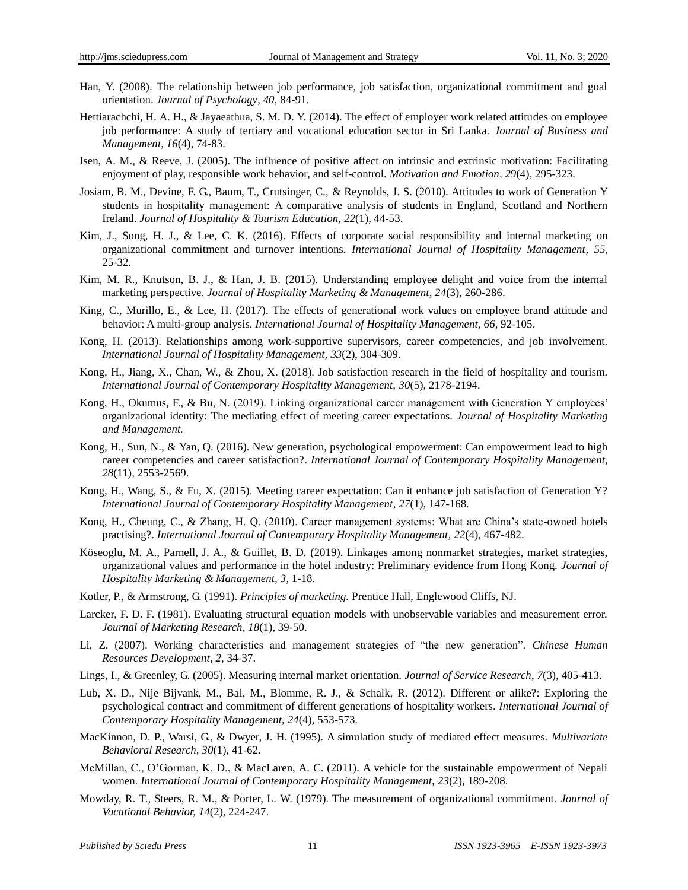- Han, Y. (2008). The relationship between job performance, job satisfaction, organizational commitment and goal orientation. *Journal of Psychology*, *40*, 84-91.
- Hettiarachchi, H. A. H., & Jayaeathua, S. M. D. Y. (2014). The effect of employer work related attitudes on employee job performance: A study of tertiary and vocational education sector in Sri Lanka. *Journal of Business and Management, 16*(4), 74-83.
- Isen, A. M., & Reeve, J. (2005). The influence of positive affect on intrinsic and extrinsic motivation: Facilitating enjoyment of play, responsible work behavior, and self-control. *Motivation and Emotion*, *29*(4), 295-323.
- Josiam, B. M., Devine, F. G., Baum, T., Crutsinger, C., & Reynolds, J. S. (2010). Attitudes to work of Generation Y students in hospitality management: A comparative analysis of students in England, Scotland and Northern Ireland. *Journal of Hospitality & Tourism Education, 22*(1), 44-53.
- Kim, J., Song, H. J., & Lee, C. K. (2016). Effects of corporate social responsibility and internal marketing on organizational commitment and turnover intentions. *International Journal of Hospitality Management*, *55,* 25-32.
- Kim, M. R., Knutson, B. J., & Han, J. B. (2015). Understanding employee delight and voice from the internal marketing perspective. *Journal of Hospitality Marketing & Management*, *24*(3), 260-286.
- King, C., Murillo, E., & Lee, H. (2017). The effects of generational work values on employee brand attitude and behavior: A multi-group analysis. *International Journal of Hospitality Management, 66*, 92-105.
- Kong, H. (2013). Relationships among work-supportive supervisors, career competencies, and job involvement. *International Journal of Hospitality Management, 33*(2), 304-309.
- Kong, H., Jiang, X., Chan, W., & Zhou, X. (2018). Job satisfaction research in the field of hospitality and tourism. *International Journal of Contemporary Hospitality Management, 30*(5), 2178-2194.
- Kong, H., Okumus, F., & Bu, N. (2019). Linking organizational career management with Generation Y employees' organizational identity: The mediating effect of meeting career expectations. *Journal of Hospitality Marketing and Management.*
- Kong, H., Sun, N., & Yan, Q. (2016). New generation, psychological empowerment: Can empowerment lead to high career competencies and career satisfaction?. *International Journal of Contemporary Hospitality Management, 28*(11), 2553-2569.
- Kong, H., Wang, S., & Fu, X. (2015). Meeting career expectation: Can it enhance job satisfaction of Generation Y? *International Journal of Contemporary Hospitality Management*, *27*(1), 147-168.
- Kong, H., Cheung, C., & Zhang, H. Q. (2010). Career management systems: What are China's state-owned hotels practising?. *International Journal of Contemporary Hospitality Management, 22*(4), 467-482.
- Köseoglu, M. A., Parnell, J. A., & Guillet, B. D. (2019). Linkages among nonmarket strategies, market strategies, organizational values and performance in the hotel industry: Preliminary evidence from Hong Kong. *Journal of Hospitality Marketing & Management, 3*, 1-18.
- Kotler, P., & Armstrong, G. (1991). *Principles of marketing.* Prentice Hall, Englewood Cliffs, NJ.
- Larcker, F. D. F. (1981). Evaluating structural equation models with unobservable variables and measurement error. *Journal of Marketing Research*, *18*(1), 39-50.
- Li, Z. (2007). Working characteristics and management strategies of "the new generation". *Chinese Human Resources Development*, *2*, 34-37.
- Lings, I., & Greenley, G. (2005). Measuring internal market orientation. *Journal of Service Research*, *7*(3), 405-413.
- Lub, X. D., Nije Bijvank, M., Bal, M., Blomme, R. J., & Schalk, R. (2012). Different or alike?: Exploring the psychological contract and commitment of different generations of hospitality workers. *International Journal of Contemporary Hospitality Management, 24*(4), 553-573.
- MacKinnon, D. P., Warsi, G., & Dwyer, J. H. (1995). A simulation study of mediated effect measures. *Multivariate Behavioral Research, 30*(1), 41-62.
- McMillan, C., O'Gorman, K. D., & MacLaren, A. C. (2011). A vehicle for the sustainable empowerment of Nepali women. *International Journal of Contemporary Hospitality Management, 23*(2), 189-208.
- Mowday, R. T., Steers, R. M., & Porter, L. W. (1979). The measurement of organizational commitment. *Journal of Vocational Behavior, 14*(2), 224-247.